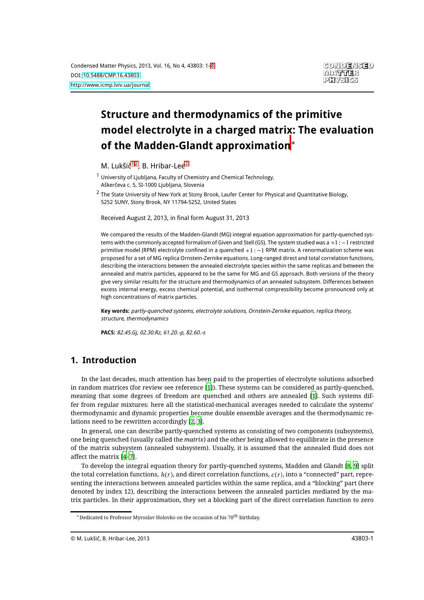# **Structure and thermodynamics of the primitive model electrolyte in a charged matrix: The evaluation of the Madden-Glandt approximation**¤

<span id="page-0-0"></span>M. Lukšič<sup>[1,](#page-0-0)[2](#page-0-1)</sup>, B. Hribar-Lee<sup>2</sup>

- <sup>1</sup> University of Ljubljana, Faculty of Chemistry and Chemical Technology, Aškerčeva c. 5, SI-1000 Ljubljana, Slovenia
- <span id="page-0-1"></span> $^{\sf 2}$  The State University of New York at Stony Brook, Laufer Center for Physical and Quantitative Biology, 5252 SUNY, Stony Brook, NY 11794-5252, United States

Received August 2, 2013, in final form August 31, 2013

We compared the results of the Madden-Glandt (MG) integral equation approximation for partly-quenched systems with the commonly accepted formalism of Given and Stell (GS). The system studied was a  $+1$  :  $-1$  restricted primitive model (RPM) electrolyte confined in a quenched  $+1: -1$  RPM matrix. A renormalization scheme was proposed for a set of MG replica Ornstein-Zernike equations. Long-ranged direct and total correlation functions, describing the interactions between the annealed electrolyte species within the same replicas and between the annealed and matrix particles, appeared to be the same for MG and GS approach. Both versions of the theory give very similar results for the structure and thermodynamics of an annealed subsystem. Differences between excess internal energy, excess chemical potential, and isothermal compressibility become pronounced only at high concentrations of matrix particles.

**Key words:** partly-quenched systems, electrolyte solutions, Ornstein-Zernike equation, replica theory, structure, thermodynamics

**PACS:** 82.45.Gj, 02.30.Rz, 61.20.-p, 82.60.-s

### **1. Introduction**

In the last decades, much attention has been paid to the properties of electrolyte solutions adsorbed in random matrices (for review see reference [\[1\]](#page-6-0)). These systems can be considered as partly-quenched, meaning that some degrees of freedom are quenched and others are annealed [\[1\]](#page-6-0). Such systems differ from regular mixtures: here all the statistical-mechanical averages needed to calculate the systems' thermodynamic and dynamic properties become double ensemble averages and the thermodynamic relations need to be rewritten accordingly [\[2,](#page-6-1) [3\]](#page-6-2).

In general, one can describe partly-quenched systems as consisting of two components (subsystems), one being quenched (usually called the *matrix*) and the other being allowed to equilibrate in the presence of the matrix subsystem (annealed subsystem). Usually, it is assumed that the annealed fluid does not affect the matrix [\[4](#page-6-3)[–7](#page-6-4)].

To develop the integral equation theory for partly-quenched systems, Madden and Glandt [\[8](#page-6-5), [9](#page-6-6)] split the total correlation functions,  $h(r)$ , and direct correlation functions,  $c(r)$ , into a "connected" part, representing the interactions between annealed particles within the same replica, and a "blocking" part (here denoted by index 12), describing the interactions between the annealed particles mediated by the matrix particles. In their approximation, they set a blocking part of the direct correlation function to zero

 $\,^*$  Dedicated to Professor Myroslav Holovko on the occasion of his 70 $^{\rm{uu}}$  birthday.

<sup>©</sup> M. Lukšič, B. Hribar-Lee, 2013 43803-1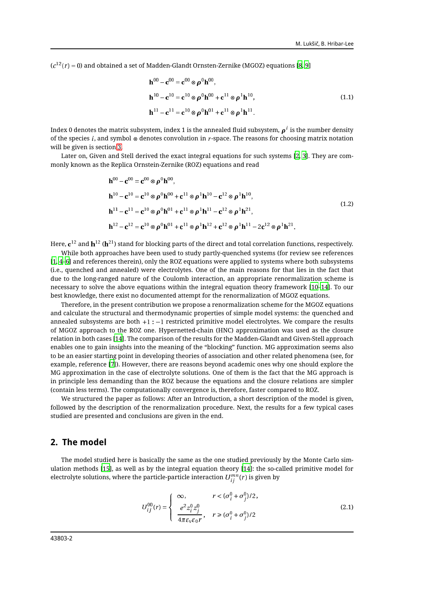<span id="page-1-2"></span>( $c^{12}(r) = 0$ ) and obtained a set of Madden-Glandt Ornsten-Zernike (MGOZ) equations [\[8,](#page-6-5) [9](#page-6-6)]

$$
\mathbf{h}^{00} - \mathbf{c}^{00} = \mathbf{c}^{00} \otimes \mathbf{\rho}^{0} \mathbf{h}^{00},
$$
  
\n
$$
\mathbf{h}^{10} - \mathbf{c}^{10} = \mathbf{c}^{10} \otimes \mathbf{\rho}^{0} \mathbf{h}^{00} + \mathbf{c}^{11} \otimes \mathbf{\rho}^{1} \mathbf{h}^{10},
$$
  
\n
$$
\mathbf{h}^{11} - \mathbf{c}^{11} = \mathbf{c}^{10} \otimes \mathbf{\rho}^{0} \mathbf{h}^{01} + \mathbf{c}^{11} \otimes \mathbf{\rho}^{1} \mathbf{h}^{11}.
$$
\n(1.1)

Index 0 denotes the matrix subsystem, index 1 is the annealed fluid subsystem,  $\bm{\rho}^{\iota}$  is the number density of the species  $i$ , and symbol  $\otimes$  denotes convolution in r-space. The reasons for choosing matrix notation will be given is section [3.](#page-2-0)

Later on, Given and Stell derived the exact integral equations for such systems [\[2,](#page-6-1) [3](#page-6-2)]. They are commonly known as the Replica Ornstein-Zernike (ROZ) equations and read

$$
\mathbf{h}^{00} - \mathbf{c}^{00} = \mathbf{c}^{00} \otimes \boldsymbol{\rho}^{0} \mathbf{h}^{00},
$$
\n
$$
\mathbf{h}^{10} - \mathbf{c}^{10} = \mathbf{c}^{10} \otimes \boldsymbol{\rho}^{0} \mathbf{h}^{00} + \mathbf{c}^{11} \otimes \boldsymbol{\rho}^{1} \mathbf{h}^{10} - \mathbf{c}^{12} \otimes \boldsymbol{\rho}^{1} \mathbf{h}^{10},
$$
\n
$$
\mathbf{h}^{11} - \mathbf{c}^{11} = \mathbf{c}^{10} \otimes \boldsymbol{\rho}^{0} \mathbf{h}^{01} + \mathbf{c}^{11} \otimes \boldsymbol{\rho}^{1} \mathbf{h}^{11} - \mathbf{c}^{12} \otimes \boldsymbol{\rho}^{1} \mathbf{h}^{21},
$$
\n
$$
\mathbf{h}^{12} - \mathbf{c}^{12} = \mathbf{c}^{10} \otimes \boldsymbol{\rho}^{0} \mathbf{h}^{01} + \mathbf{c}^{11} \otimes \boldsymbol{\rho}^{1} \mathbf{h}^{12} + \mathbf{c}^{12} \otimes \boldsymbol{\rho}^{1} \mathbf{h}^{11} - 2\mathbf{c}^{12} \otimes \boldsymbol{\rho}^{1} \mathbf{h}^{21}.
$$
\n(1.2)

<span id="page-1-1"></span>Here,  ${\bf c}^{12}$  and  ${\bf h}^{12}$  ( ${\bf h}^{21})$  stand for blocking parts of the direct and total correlation functions, respectively.

While both approaches have been used to study partly-quenched systems (for review see references [\[1,](#page-6-0) [4](#page-6-3)–[6\]](#page-6-7) and references therein), only the ROZ equations were applied to systems where both subsystems (i.e., quenched and annealed) were electrolytes. One of the main reasons for that lies in the fact that due to the long-ranged nature of the Coulomb interaction, an appropriate renormalization scheme is necessary to solve the above equations within the integral equation theory framework [\[10](#page-6-8)–[14](#page-6-9)]. To our best knowledge, there exist no documented attempt for the renormalization of MGOZ equations.

Therefore, in the present contribution we propose a renormalization scheme for the MGOZ equations and calculate the structural and thermodynamic properties of simple model systems: the quenched and annealed subsystems are both  $+1$  :  $-1$  restricted primitive model electrolytes. We compare the results of MGOZ approach to the ROZ one. Hypernetted-chain (HNC) approximation was used as the closure relation in both cases [\[14](#page-6-9)]. The comparison of the results for the Madden-Glandt and Given-Stell approach enables one to gain insights into the meaning of the "blocking" function. MG approximation seems also to be an easier starting point in developing theories of association and other related phenomena (see, for example, reference [\[7\]](#page-6-4)). However, there are reasons beyond academic ones why one should explore the MG approximation in the case of electrolyte solutions. One of them is the fact that the MG approach is in principle less demanding than the ROZ because the equations and the closure relations are simpler (contain less terms). The computationally convergence is, therefore, faster compared to ROZ.

We structured the paper as follows: After an Introduction, a short description of the model is given, followed by the description of the renormalization procedure. Next, the results for a few typical cases studied are presented and conclusions are given in the end.

#### **2. The model**

The model studied here is basically the same as the one studied previously by the Monte Carlo simulation methods [\[15\]](#page-6-10), as well as by the integral equation theory [\[14](#page-6-9)]: the so-called primitive model for electrolyte solutions, where the particle-particle interaction  $U_{i\,i}^{mn}(r)$  is given by

<span id="page-1-0"></span>
$$
U_{ij}^{00}(r) = \begin{cases} \infty, & r < (\sigma_i^0 + \sigma_j^0)/2, \\ \frac{e^2 z_i^0 z_j^0}{4\pi\varepsilon_v \varepsilon_0 r}, & r \ge (\sigma_i^0 + \sigma_j^0)/2 \end{cases}
$$
(2.1)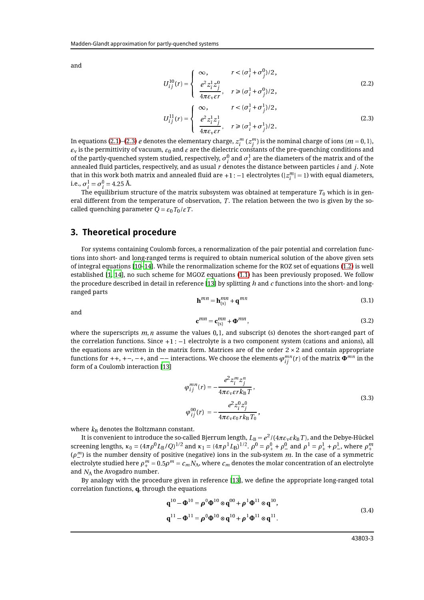and

$$
U_{ij}^{10}(r) = \begin{cases} \infty, & r < (\sigma_i^1 + \sigma_j^0)/2, \\ \frac{e^2 z_i^1 z_j^0}{4\pi\varepsilon_v \varepsilon r}, & r \ge (\sigma_i^1 + \sigma_j^0)/2, \end{cases}
$$
(2.2)

<span id="page-2-1"></span>
$$
U_{ij}^{11}(r) = \begin{cases} \infty, & r < (\sigma_i^1 + \sigma_j^1)/2, \\ \frac{e^2 z_i^1 z_j^1}{4\pi\varepsilon_v \varepsilon r}, & r \ge (\sigma_i^1 + \sigma_j^1)/2. \end{cases}
$$
(2.3)

In equations [\(2.1\)](#page-1-0)–[\(2.3\)](#page-2-1)  $e$  denotes the elementary charge,  $z_i^m\, (z_i^m)$  is the nominal charge of ions ( $m=0,1),$  $\varepsilon_v$  is the permittivity of vacuum,  $\varepsilon_0$  and  $\varepsilon$  are the dielectric constants of the pre-quenching conditions and of the partly-quenched system studied, respectively,  $\sigma^0_i$  and  $\sigma^1_i$  are the diameters of the matrix and of the annealed fluid particles, respectively, and as usual  $r$  denotes the distance between particles  $i$  and  $j$ . Note that in this work both matrix and annealed fluid are  $+1$  :  $-1$  electrolytes ( $|z^m_i|=1$ ) with equal diameters, i.e.,  $\sigma_i^1 = \sigma_i^0 = 4.25$  Å.

The equilibrium structure of the matrix subsystem was obtained at temperature  $T_0$  which is in general different from the temperature of observation,  $T$ . The relation between the two is given by the socalled quenching parameter  $Q = \varepsilon_0 T_0 / \varepsilon T$ .

#### <span id="page-2-0"></span>**3. Theoretical procedure**

For systems containing Coulomb forces, a renormalization of the pair potential and correlation functions into short- and long-ranged terms is required to obtain numerical solution of the above given sets of integral equations [\[10](#page-6-8)–[14](#page-6-9)]. While the renormalization scheme for the ROZ set of equations [\(1.2\)](#page-1-1) is well established [\[1,](#page-6-0) [14](#page-6-9)], no such scheme for MGOZ equations [\(1.1\)](#page-1-2) has been previously proposed. We follow the procedure described in detail in reference [\[13\]](#page-6-11) by splitting  $h$  and  $c$  functions into the short- and longranged parts

$$
\mathbf{h}^{mn} = \mathbf{h}_{(s)}^{mn} + \mathbf{q}^{mn} \tag{3.1}
$$

and

$$
\mathbf{c}^{mn} = \mathbf{c}_{(s)}^{mn} + \mathbf{\Phi}^{mn},\tag{3.2}
$$

where the superscripts  $m, n$  assume the values  $0, 1$ , and subscript (s) denotes the short-ranged part of the correlation functions. Since  $+1:-1$  electrolyte is a two component system (cations and anions), all the equations are written in the matrix form. Matrices are of the order  $2 \times 2$  and contain appropriate functions for ++, +–, –+, and –– interactions. We choose the elements  $\varphi^{mn}_{ij}(r)$  of the matrix  $\Phi^{mn}$  in the form of a Coulomb interaction [\[13\]](#page-6-11)

$$
\varphi_{ij}^{mn}(r) = -\frac{e^2 z_i^m z_j^n}{4\pi \varepsilon_v \varepsilon r k_B T},
$$
\n
$$
\varphi_{ij}^{00}(r) = -\frac{e^2 z_i^0 z_j^0}{4\pi \varepsilon_v \varepsilon_0 r k_B T_0},
$$
\n(3.3)

where  $k_B$  denotes the Boltzmann constant.

It is convenient to introduce the so-called Bjerrum length,  $L_{\rm B}=e^2/(4\pi\varepsilon_{\rm V}\varepsilon k_{\rm B}\,T),$  and the Debye-Hückel screening lengths,  $\kappa_0 = (4\pi \rho^0 L_\text{B}/Q)^{1/2}$  and  $\kappa_1 = (4\pi \rho^1 L_\text{B})^{1/2}$ .  $\rho^0 = \rho_+^0 + \rho_-^0$  and  $\rho^1 = \rho_+^1 + \rho_-^1$ , where  $\rho_+^m$  $(\rho_{-}^{m})$  is the number density of positive (negative) ions in the sub-system m. In the case of a symmetric electrolyte studied here  $\rho_{+}^m=0.5\rho_{-}^m=c_mN_{\rm A}$ , where  $c_m$  denotes the molar concentration of an electrolyte and  $N_A$  the Avogadro number.

<span id="page-2-2"></span>By analogy with the procedure given in reference [\[13\]](#page-6-11), we define the appropriate long-ranged total correlation functions, <sup>q</sup>, through the equations

$$
q^{10} - \Phi^{10} = \rho^0 \Phi^{10} \otimes q^{00} + \rho^1 \Phi^{11} \otimes q^{10},
$$
  
\n
$$
q^{11} - \Phi^{11} = \rho^0 \Phi^{10} \otimes q^{10} + \rho^1 \Phi^{11} \otimes q^{11}.
$$
\n(3.4)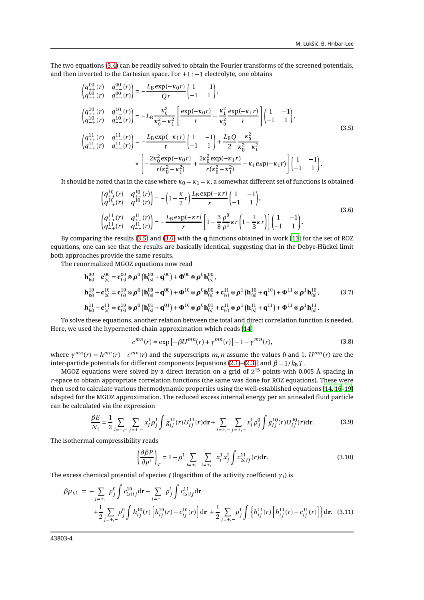The two equations [\(3.4\)](#page-2-2) can be readily solved to obtain the Fourier transforms of the screened potentials, and then inverted to the Cartesian space. For  $+1$  :  $-1$  electrolyte, one obtains

<span id="page-3-0"></span>
$$
\begin{split}\n\begin{pmatrix}\nq_{++}^{00}(r) & q_{+-}^{00}(r) \\
q_{-+}^{00}(r) & q_{--}^{00}(r)\n\end{pmatrix} &= -\frac{L_B \exp(-\kappa_0 r)}{Qr} \begin{pmatrix} 1 & -1 \\
-1 & 1\end{pmatrix}, \\
\begin{pmatrix}\nq_{++}^{10}(r) & q_{+-}^{10}(r) \\
q_{-+}^{10}(r) & q_{--}^{10}(r)\n\end{pmatrix} &= -L_B \frac{\kappa_0^2}{\kappa_0^2 - \kappa_1^2} \left[ \frac{\exp(-\kappa_0 r)}{r} - \frac{\kappa_1^2 \exp(-\kappa_1 r)}{\kappa_0^2} \right] \begin{pmatrix} 1 & -1 \\
-1 & 1 \end{pmatrix}, \\
\begin{pmatrix}\nq_{++}^{11}(r) & q_{+-}^{11}(r) \\
q_{-+}^{11}(r) & q_{--}^{11}(r)\n\end{pmatrix} &= -\frac{L_B \exp(-\kappa_1 r)}{r} \begin{pmatrix} 1 & -1 \\
-1 & 1 \end{pmatrix} + \frac{L_B Q}{2} \frac{\kappa_0^2}{\kappa_0^2 - \kappa_1^2} \\
\times \left[ -\frac{2\kappa_0^2 \exp(-\kappa_0 r)}{r(\kappa_0^2 - \kappa_1^2)} + \frac{2\kappa_0^2 \exp(-\kappa_1 r)}{r(\kappa_0^2 - \kappa_1^2)} - \kappa_1 \exp(-\kappa_1 r) \right] \begin{pmatrix} 1 & -1 \\
-1 & 1 \end{pmatrix}.\n\end{split} \tag{3.5}
$$

It should be noted that in the case where  $\kappa_0 = \kappa_1 = \kappa$ , a somewhat different set of functions is obtained

$$
\begin{aligned}\n\left(\begin{matrix} q_{++}^{10}(r) & q_{+-}^{10}(r) \\ q_{-+}^{10}(r) & q_{--}^{10}(r) \end{matrix}\right) &= -\left(1 - \frac{\kappa}{2}r\right) \frac{L_B \exp(-\kappa r)}{r} \begin{pmatrix} 1 & -1 \\ -1 & 1 \end{pmatrix}, \\
\left(\begin{matrix} q_{++}^{11}(r) & q_{+-}^{11}(r) \\ q_{-+}^{11}(r) & q_{--}^{11}(r) \end{matrix}\right) &= -\frac{L_B \exp(-\kappa r)}{r} \left[1 - \frac{3}{8} \frac{\rho^0}{\rho^1} \kappa r \left(1 - \frac{1}{3} \kappa r\right)\right] \begin{pmatrix} 1 & -1 \\ -1 & 1 \end{pmatrix}.\n\end{aligned} \tag{3.6}
$$

<span id="page-3-1"></span>By comparing the results [\(3.5\)](#page-3-0) and [\(3.6\)](#page-3-1) with the <sup>q</sup> functions obtained in work [\[13\]](#page-6-11) for the set of ROZ equations, one can see that the results are basically identical, suggesting that in the Debye-Hückel limit both approaches provide the same results.

The renormalized MGOZ equations now read

$$
\mathbf{h}_{(s)}^{00} - \mathbf{c}_{(s)}^{00} = \mathbf{c}_{(s)}^{00} \otimes \boldsymbol{\rho}^{0} \left( \mathbf{h}_{(s)}^{00} + \mathbf{q}^{00} \right) + \boldsymbol{\Phi}^{00} \otimes \boldsymbol{\rho}^{0} \mathbf{h}_{(s)}^{00},
$$
\n
$$
\mathbf{h}_{(s)}^{10} - \mathbf{c}_{(s)}^{10} = \mathbf{c}_{(s)}^{10} \otimes \boldsymbol{\rho}^{0} \left( \mathbf{h}_{(s)}^{00} + \mathbf{q}^{00} \right) + \boldsymbol{\Phi}^{10} \otimes \boldsymbol{\rho}^{0} \mathbf{h}_{(s)}^{00} + \mathbf{c}_{(s)}^{11} \otimes \boldsymbol{\rho}^{1} \left( \mathbf{h}_{(s)}^{10} + \mathbf{q}^{10} \right) + \boldsymbol{\Phi}^{11} \otimes \boldsymbol{\rho}^{1} \mathbf{h}_{(s)}^{10},
$$
\n
$$
\mathbf{h}_{(s)}^{11} - \mathbf{c}_{(s)}^{11} = \mathbf{c}_{(s)}^{10} \otimes \boldsymbol{\rho}^{0} \left( \mathbf{h}_{(s)}^{01} + \mathbf{q}^{01} \right) + \boldsymbol{\Phi}^{10} \otimes \boldsymbol{\rho}^{0} \mathbf{h}_{(s)}^{01} + \mathbf{c}_{(s)}^{11} \otimes \boldsymbol{\rho}^{1} \left( \mathbf{h}_{(s)}^{11} + \mathbf{q}^{11} \right) + \boldsymbol{\Phi}^{11} \otimes \boldsymbol{\rho}^{1} \mathbf{h}_{(s)}^{11}.
$$
\n(3.7)

To solve these equations, another relation between the total and direct correlation function is needed. Here, we used the hypernetted-chain approximation which reads [\[14\]](#page-6-9)

$$
c^{mn}(r) = \exp\left[-\beta U^{mn}(r) + \gamma^{mn}(r)\right] - 1 - \gamma^{mn}(r),\tag{3.8}
$$

where  $\gamma^{mn}(r) = h^{mn}(r) - c^{mn}(r)$  and the superscripts m, n assume the values 0 and 1.  $U^{mn}(r)$  are the inter-particle potentials for different components [equations [\(2.1\)](#page-1-0)–[\(2.3\)](#page-2-1)] and  $\beta = 1/k_B T$ .

MGOZ equations were solved by a direct iteration on a grid of  $2^{15}$  points with 0.005 Å spacing in <sup>r</sup> -space to obtain appropriate correlation functions (the same was done for ROZ equations). These were then used to calculate various thermodynamic properties using the well-established equations [\[14,](#page-6-9) [16](#page-6-12)–[19\]](#page-6-13) adapted for the MGOZ approximation. The reduced excess internal energy per an annealed fluid particle can be calculated via the expression

$$
\frac{\beta E}{N_1} = \frac{1}{2} \sum_{i = +, -j = +, -} x_i^1 \rho_j^1 \int g_{ij}^{11}(r) U_{ij}^{11}(r) dr + \sum_{i = +, -j = +, -} \sum_{j = +, -} x_i^1 \rho_j^0 \int g_{ij}^{10}(r) U_{ij}^{10}(r) dr.
$$
 (3.9)

The isothermal compressibility reads

<span id="page-3-2"></span>
$$
\left(\frac{\partial \beta P}{\partial \rho^1}\right)_T = 1 - \rho^1 \sum_{i = +, -i = +, -} \sum_{i = +, -} x_i^1 x_j^1 \int c_{(s)ij}^{11}(r) dr.
$$
 (3.10)

The excess chemical potential of species i (logarithm of the activity coefficient  $\gamma_i$ ) is

<span id="page-3-3"></span>
$$
\beta\mu_{i,1} = -\sum_{j=+,-} \rho_j^0 \int c_{(s)ij}^{10} d\mathbf{r} - \sum_{j=+,-} \rho_j^1 \int c_{(s)ij}^{11} d\mathbf{r} \n+ \frac{1}{2} \sum_{j=+,-} \rho_j^0 \int h_{ij}^{10}(r) \left[ h_{ij}^{10}(r) - c_{ij}^{10}(r) \right] d\mathbf{r} + \frac{1}{2} \sum_{j=+,-} \rho_j^1 \int \left\{ h_{ij}^{11}(r) \left[ h_{ij}^{11}(r) - c_{ij}^{11}(r) \right] \right\} d\mathbf{r}.
$$
 (3.11)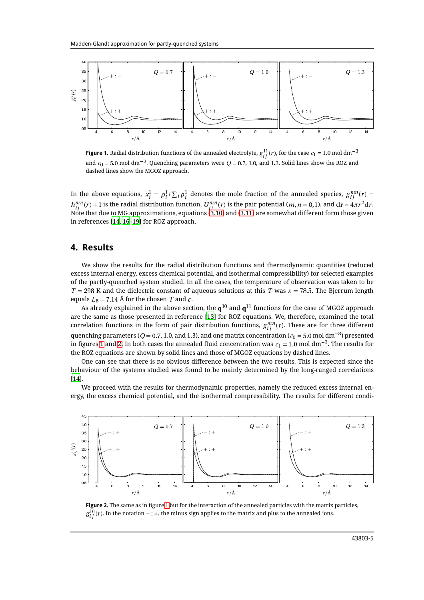

<span id="page-4-0"></span>**Figure 1.** Radial distribution functions of the annealed electrolyte,  $g_{ij}^{11}(r)$ , for the case  $c_1 = 1.0$  mol dm $^{-3}$ and  $c_0 = 5.0$  mol dm<sup>-3</sup>. Quenching parameters were  $Q = 0.7$ , 1.0, and 1.3. Solid lines show the ROZ and dashed lines show the MGOZ approach.

In the above equations,  $x_i^1 = \rho_i^1/\sum_i \rho_i^1$  denotes the mole fraction of the annealed species,  $g^{mn}_{ij}(r) =$  $h_{ii}^{mn}(r)$  + 1 is the radial distribution function,  $U_{ii}^{mn}(r)$  is the pair potential (*m*, *n* = 0, 1), and d**r** = 4 $\pi r^2$ d*r*. Note that due to MG approximations, equations [\(3.10\)](#page-3-2) and [\(3.11\)](#page-3-3) are somewhat different form those given in references [\[14,](#page-6-9) [16](#page-6-12)–[19\]](#page-6-13) for ROZ approach.

#### **4. Results**

We show the results for the radial distribution functions and thermodynamic quantities (reduced excess internal energy, excess chemical potential, and isothermal compressibility) for selected examples of the partly-quenched system studied. In all the cases, the temperature of observation was taken to be  $T = 298$  K and the dielectric constant of aqueous solutions at this T was  $\varepsilon = 78.5$ . The Bjerrum length equals  $L_B = 7.14$  Å for the chosen T and  $\varepsilon$ .

As already explained in the above section, the  $q^{10}$  and  $q^{11}$  functions for the case of MGOZ approach are the same as those presented in reference [\[13](#page-6-11)] for ROZ equations. We, therefore, examined the total correlation functions in the form of pair distribution functions,  $g_{ij}^{mn}(r)$ . These are for three different quenching parameters (Q = 0.7, 1.0, and 1.3), and one matrix concentration ( $c_0$  = 5.0 mol dm $^{-3}$ ) presented in figures [1](#page-4-0) and [2.](#page-4-1) In both cases the annealed fluid concentration was  $c_1 = 1.0$  mol dm $^{-3}.$  The results for the ROZ equations are shown by solid lines and those of MGOZ equations by dashed lines.

One can see that there is no obvious difference between the two results. This is expected since the behaviour of the systems studied was found to be mainly determined by the long-ranged correlations [\[14\]](#page-6-9).

We proceed with the results for thermodynamic properties, namely the reduced excess internal energy, the excess chemical potential, and the isothermal compressibility. The results for different condi-



<span id="page-4-1"></span>**Figure 2.** The same as in figure [1](#page-4-0) but for the interaction of the annealed particles with the matrix particles,  $g_{ij}^{10}(r)$ . In the notation – : +, the minus sign applies to the matrix and plus to the annealed ions.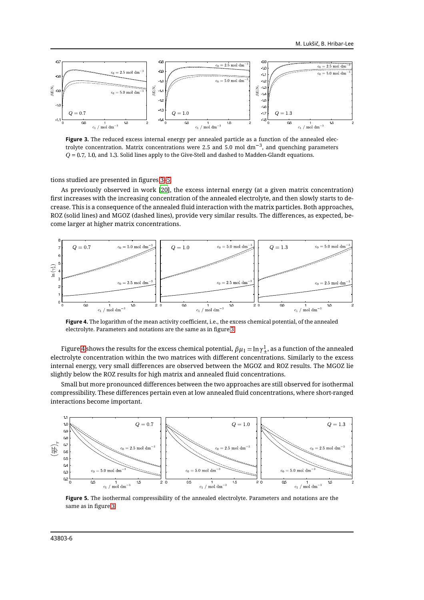

<span id="page-5-0"></span>**Figure 3.** The reduced excess internal energy per annealed particle as a function of the annealed electrolyte concentration. Matrix concentrations were 2.5 and 5.0 mol  $dm^{-3}$ , and quenching parameters  $Q = 0.7, 1.0,$  and 1.3. Solid lines apply to the Give-Stell and dashed to Madden-Glandt equations.

tions studied are presented in figures [3](#page-5-0)–[5.](#page-5-1)

As previously observed in work [\[20](#page-6-14)], the excess internal energy (at a given matrix concentration) first increases with the increasing concentration of the annealed electrolyte, and then slowly starts to decrease. This is a consequence of the annealed fluid interaction with the matrix particles. Both approaches, ROZ (solid lines) and MGOZ (dashed lines), provide very similar results. The differences, as expected, become larger at higher matrix concentrations.



<span id="page-5-2"></span>**Figure 4.** The logarithm of the mean activity coefficient, i.e., the excess chemical potential, of the annealed electrolyte. Parameters and notations are the same as in figure [3.](#page-5-0)

Figure [4](#page-5-2) shows the results for the excess chemical potential,  $\beta\mu_1 = \ln\gamma_{+}^1$ , as a function of the annealed electrolyte concentration within the two matrices with different concentrations. Similarly to the excess internal energy, very small differences are observed between the MGOZ and ROZ results. The MGOZ lie slightly below the ROZ results for high matrix and annealed fluid concentrations.

Small but more pronounced differences between the two approaches are still observed for isothermal compressibility. These differences pertain even at low annealed fluid concentrations, where short-ranged interactions become important.



<span id="page-5-1"></span>**Figure 5.** The isothermal compressibility of the annealed electrolyte. Parameters and notations are the same as in figure [3.](#page-5-0)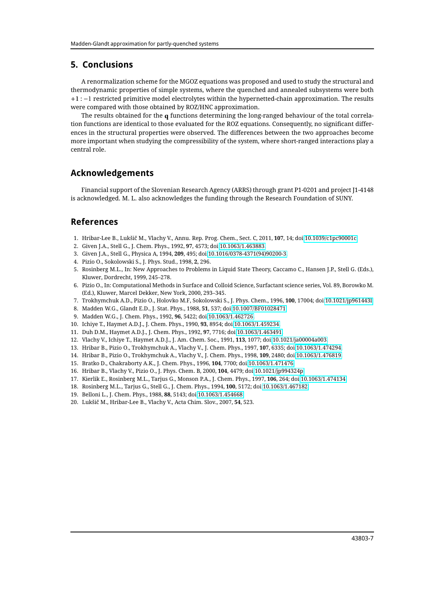#### **5. Conclusions**

A renormalization scheme for the MGOZ equations was proposed and used to study the structural and thermodynamic properties of simple systems, where the quenched and annealed subsystems were both  $+1:-1$  restricted primitive model electrolytes within the hypernetted-chain approximation. The results were compared with those obtained by ROZ/HNC approximation.

The results obtained for the <sup>q</sup> functions determining the long-ranged behaviour of the total correlation functions are identical to those evaluated for the ROZ equations. Consequently, no significant differences in the structural properties were observed. The differences between the two approaches become more important when studying the compressibility of the system, where short-ranged interactions play a central role.

#### **Acknowledgements**

Financial support of the Slovenian Research Agency (ARRS) through grant P1-0201 and project J1-4148 is acknowledged. M. L. also acknowledges the funding through the Research Foundation of SUNY.

#### **References**

- <span id="page-6-0"></span>1. Hribar-Lee B., Lukšič M., Vlachy V., Annu. Rep. Prog. Chem., Sect. C, 2011, **107**, 14; doi[:10.1039/c1pc90001c.](http://dx.doi.org/10.1039/c1pc90001c)
- <span id="page-6-1"></span>2. Given J.A., Stell G., J. Chem. Phys., 1992, **97**, 4573; doi[:10.1063/1.463883.](http://dx.doi.org/10.1063/1.463883)
- <span id="page-6-2"></span>3. Given J.A., Stell G., Physica A, 1994, **209**, 495; doi[:10.1016/0378-4371\(94\)90200-3.](http://dx.doi.org/10.1016/0378-4371(94)90200-3)
- <span id="page-6-3"></span>4. Pizio O., Sokolowski S., J. Phys. Stud., 1998, **2**, 296.
- 5. Rosinberg M.L., In: New Approaches to Problems in Liquid State Theory, Caccamo C., Hansen J.P., Stell G. (Eds.), Kluwer, Dordrecht, 1999, 245–278.
- <span id="page-6-7"></span>6. Pizio O., In: Computational Methods in Surface and Colloid Science, Surfactant science series, Vol. 89, Borowko M. (Ed.), Kluwer, Marcel Dekker, New York, 2000, 293–345.
- <span id="page-6-4"></span>7. Trokhymchuk A.D., Pizio O., Holovko M.F, Sokolowski S., J. Phys. Chem., 1996, **100**, 17004; doi[:10.1021/jp961443l.](http://dx.doi.org/10.1021/jp961443l)
- <span id="page-6-5"></span>8. Madden W.G., Glandt E.D., J. Stat. Phys., 1988, **51**, 537; doi[:10.1007/BF01028471.](http://dx.doi.org/10.1007/BF01028471)
- <span id="page-6-6"></span>9. Madden W.G., J. Chem. Phys., 1992, **96**, 5422; doi[:10.1063/1.462726.](http://dx.doi.org/10.1063/1.462726)
- <span id="page-6-8"></span>10. Ichiye T., Haymet A.D.J., J. Chem. Phys., 1990, **93**, 8954; doi[:10.1063/1.459234.](http://dx.doi.org/10.1063/1.459234)
- 11. Duh D.M., Haymet A.D.J., J. Chem. Phys., 1992, **97**, 7716; doi[:10.1063/1.463491.](http://dx.doi.org/10.1063/1.463491)
- 12. Vlachy V., Ichiye T., Haymet A.D.J., J. Am. Chem. Soc., 1991, **113**, 1077; doi[:10.1021/ja00004a003.](http://dx.doi.org/10.1021/ja00004a003)
- <span id="page-6-11"></span>13. Hribar B., Pizio O., Trokhymchuk A., Vlachy V., J. Chem. Phys., 1997, **107**, 6335; doi[:10.1063/1.474294.](http://dx.doi.org/10.1063/1.474294)
- <span id="page-6-9"></span>14. Hribar B., Pizio O., Trokhymchuk A., Vlachy V., J. Chem. Phys., 1998, **109**, 2480; doi[:10.1063/1.476819.](http://dx.doi.org/10.1063/1.476819)
- <span id="page-6-10"></span>15. Bratko D., Chakraborty A.K., J. Chem. Phys., 1996, **104**, 7700; doi[:10.1063/1.471476.](http://dx.doi.org/10.1063/1.471476)
- <span id="page-6-12"></span>16. Hribar B., Vlachy V., Pizio O., J. Phys. Chem. B, 2000, **104**, 4479; doi[:10.1021/jp994324p.](http://dx.doi.org/10.1021/jp994324p)
- 17. Kierlik E., Rosinberg M.L., Tarjus G., Monson P.A., J. Chem. Phys., 1997, **106**, 264; doi[:10.1063/1.474134.](http://dx.doi.org/10.1063/1.474134)
- 18. Rosinberg M.L., Tarjus G., Stell G., J. Chem. Phys., 1994, **100**, 5172; doi[:10.1063/1.467182.](http://dx.doi.org/10.1063/1.467182)
- <span id="page-6-13"></span>19. Belloni L., J. Chem. Phys., 1988, **88**, 5143; doi[:10.1063/1.454668.](http://dx.doi.org/10.1063/1.454668)
- <span id="page-6-14"></span>20. Lukšič M., Hribar-Lee B., Vlachy V., Acta Chim. Slov., 2007, **54**, 523.